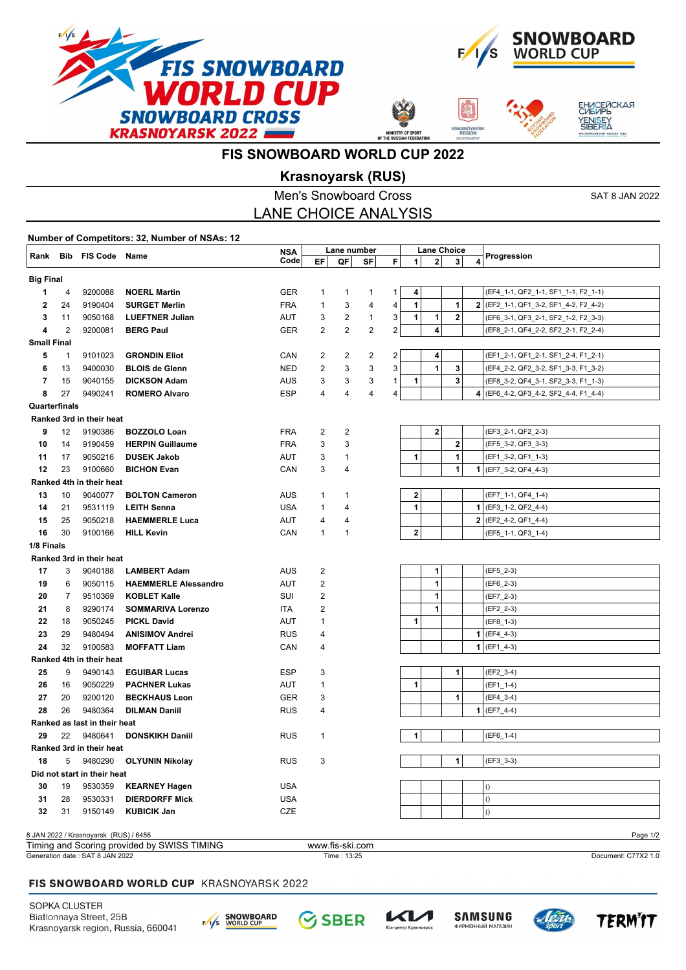







# **FIS SNOWBOARD WORLD CUP 2022**

## **Krasnoyarsk (RUS)**

|                                                                                     |                |                                       |                             | <b>Men's Snowboard Cross</b> |                |                   |                |              |              |                                                      |   | <b>SAT 8 JAN 2022</b>                 |
|-------------------------------------------------------------------------------------|----------------|---------------------------------------|-----------------------------|------------------------------|----------------|-------------------|----------------|--------------|--------------|------------------------------------------------------|---|---------------------------------------|
|                                                                                     |                |                                       |                             | <b>LANE CHOICE ANALYSIS</b>  |                |                   |                |              |              |                                                      |   |                                       |
| Number of Competitors: 32, Number of NSAs: 12                                       |                |                                       |                             |                              |                |                   |                |              |              |                                                      |   |                                       |
|                                                                                     |                | Rank Bib FIS Code Name                |                             | <b>NSA</b><br>Code           | EF             | Lane number<br>QF | SF             | F            | $\mathbf{1}$ | <b>Lane Choice</b><br>2 <sup>1</sup><br>$\mathbf{3}$ | 4 | Progression                           |
| <b>Big Final</b>                                                                    |                |                                       |                             |                              |                |                   |                |              |              |                                                      |   |                                       |
| 1                                                                                   | 4              | 9200088                               | <b>NOERL Martin</b>         | <b>GER</b>                   | 1              | $\mathbf{1}$      | 1              | 1            | 4            |                                                      |   | (EF4_1-1, QF2_1-1, SF1_1-1, F2_1-1)   |
| 2                                                                                   | 24             | 9190404                               | <b>SURGET Merlin</b>        | <b>FRA</b>                   | $\mathbf{1}$   | 3                 | 4              | 4            | 1            | 1                                                    |   | 2 (EF2_1-1, QF1_3-2, SF1_4-2, F2_4-2) |
| 3                                                                                   | 11             | 9050168                               | <b>LUEFTNER Julian</b>      | AUT                          | 3              | 2                 | 1              | 3            | 1            | 1<br>2                                               |   | (EF6_3-1, QF3_2-1, SF2_1-2, F2_3-3)   |
| 4                                                                                   | $\overline{2}$ | 9200081                               | <b>BERG Paul</b>            | <b>GER</b>                   | 2              | $\overline{2}$    | $\overline{c}$ | 2            |              | $\overline{4}$                                       |   | (EF8_2-1, QF4_2-2, SF2_2-1, F2_2-4)   |
| <b>Small Final</b>                                                                  |                |                                       |                             |                              |                |                   |                |              |              |                                                      |   |                                       |
| 5                                                                                   | $\mathbf{1}$   | 9101023                               | <b>GRONDIN Eliot</b>        | CAN                          | 2              | 2                 | 2              | 2            |              | 4                                                    |   | (EF1_2-1, QF1_2-1, SF1_2-4, F1_2-1)   |
| 6                                                                                   | 13             | 9400030                               | <b>BLOIS de Glenn</b>       | <b>NED</b>                   | 2              | 3                 | 3              | 3            |              | $\mathbf{1}$<br>3                                    |   | (EF4_2-2, QF2_3-2, SF1_3-3, F1_3-2)   |
| 7                                                                                   | 15             | 9040155                               | <b>DICKSON Adam</b>         | AUS                          | 3              | 3                 | 3              | $\mathbf{1}$ | 1            | 3                                                    |   | (EF8_3-2, QF4_3-1, SF2_3-3, F1_1-3)   |
| 8                                                                                   | 27             | 9490241                               | <b>ROMERO Alvaro</b>        | ESP                          | 4              | 4                 | 4              | 4            |              |                                                      |   | 4 (EF6_4-2, QF3_4-2, SF2_4-4, F1_4-4) |
| Quarterfinals                                                                       |                |                                       |                             |                              |                |                   |                |              |              |                                                      |   |                                       |
|                                                                                     |                | Ranked 3rd in their heat              |                             |                              |                |                   |                |              |              |                                                      |   |                                       |
| 9                                                                                   | 12             | 9190386                               | <b>BOZZOLO Loan</b>         | <b>FRA</b>                   | 2              | $\overline{c}$    |                |              |              | $\mathbf 2$                                          |   | (EF3_2-1, QF2_2-3)                    |
| 10                                                                                  | 14             | 9190459                               | <b>HERPIN Guillaume</b>     | <b>FRA</b>                   | 3              | 3                 |                |              |              | $\bf{2}$                                             |   | (EF5_3-2, QF3_3-3)                    |
| 11                                                                                  | 17             | 9050216                               | <b>DUSEK Jakob</b>          | AUT                          | 3              | 1                 |                |              | 1            | 1                                                    |   | (EF1_3-2, QF1_1-3)                    |
| 12                                                                                  | 23             | 9100660                               | <b>BICHON Evan</b>          | CAN                          | 3              | 4                 |                |              |              | 1                                                    |   | $1$ (EF7_3-2, QF4_4-3)                |
|                                                                                     |                | Ranked 4th in their heat              |                             |                              |                |                   |                |              |              |                                                      |   |                                       |
| 13                                                                                  | 10             | 9040077                               | <b>BOLTON Cameron</b>       | AUS                          | $\mathbf{1}$   | $\mathbf{1}$      |                |              | $\mathbf 2$  |                                                      |   | (EF7_1-1, QF4_1-4)                    |
| 14                                                                                  | 21             | 9531119                               | <b>LEITH Senna</b>          | <b>USA</b>                   | $\mathbf{1}$   | 4                 |                |              | 1            |                                                      |   | $1$ (EF3_1-2, QF2_4-4)                |
| 15                                                                                  | 25             | 9050218                               | <b>HAEMMERLE Luca</b>       | AUT                          | 4              | 4                 |                |              |              |                                                      |   | $2$ (EF2_4-2, QF1_4-4)                |
| 16                                                                                  | 30             | 9100166                               | <b>HILL Kevin</b>           | CAN                          | $\mathbf{1}$   | $\mathbf{1}$      |                |              | $\mathbf{2}$ |                                                      |   | (EF5_1-1, QF3_1-4)                    |
| 1/8 Finals                                                                          |                |                                       |                             |                              |                |                   |                |              |              |                                                      |   |                                       |
|                                                                                     |                | Ranked 3rd in their heat              |                             |                              |                |                   |                |              |              |                                                      |   |                                       |
| 17                                                                                  | 3              | 9040188                               | <b>LAMBERT Adam</b>         | AUS                          | 2              |                   |                |              |              | 1                                                    |   | (EF5_2-3)                             |
| 19                                                                                  | 6              | 9050115                               | <b>HAEMMERLE Alessandro</b> | AUT                          | 2              |                   |                |              |              | 1                                                    |   | $(EF6_2-3)$                           |
| 20                                                                                  | $7^{\circ}$    | 9510369                               | <b>KOBLET Kalle</b>         | SUI                          | $\overline{2}$ |                   |                |              |              | $\mathbf{1}$                                         |   | $(EF7_2-3)$                           |
| 21                                                                                  | 8              | 9290174                               | <b>SOMMARIVA Lorenzo</b>    | ITA                          | 2              |                   |                |              |              | 1                                                    |   | $(EF2_2-3)$                           |
| 22                                                                                  | 18             | 9050245                               | <b>PICKL David</b>          | AUT                          | 1              |                   |                |              | 1            |                                                      |   | $(EF8_1-3)$                           |
| 23                                                                                  | 29             | 9480494                               | <b>ANISIMOV Andrei</b>      | <b>RUS</b>                   | 4              |                   |                |              |              |                                                      |   | $1$ (EF4_4-3)                         |
| 24                                                                                  | 32             | 9100583                               | <b>MOFFATT Liam</b>         | CAN                          | 4              |                   |                |              |              |                                                      |   | $1$ (EF1_4-3)                         |
|                                                                                     |                | Ranked 4th in their heat              |                             |                              |                |                   |                |              |              |                                                      |   |                                       |
| 25                                                                                  | 9              | 9490143                               | <b>EGUIBAR Lucas</b>        | ESP                          | 3              |                   |                |              |              | 1                                                    |   | $(EF2_3-4)$                           |
| 26                                                                                  | 16             | 9050229                               | <b>PACHNER Lukas</b>        | AUT                          | 1              |                   |                |              | 1            |                                                      |   | $(EF1_1-1-4)$                         |
| 27                                                                                  | 20             | 9200120                               | <b>BECKHAUS Leon</b>        | GER                          | 3              |                   |                |              |              | $\mathbf{1}$                                         |   | (EF4 3-4)                             |
| 28                                                                                  | 26             | 9480364                               | <b>DILMAN Daniil</b>        | <b>RUS</b>                   | 4              |                   |                |              |              |                                                      |   | $1$ (EF7_4-4)                         |
|                                                                                     |                | Ranked as last in their heat          |                             |                              |                |                   |                |              |              |                                                      |   |                                       |
| 29                                                                                  | 22             | 9480641                               | <b>DONSKIKH Daniil</b>      | <b>RUS</b>                   | $\mathbf{1}$   |                   |                |              | 1            |                                                      |   | $(EF6_1-4)$                           |
| Ranked 3rd in their heat                                                            |                |                                       |                             |                              |                |                   |                |              |              |                                                      |   |                                       |
| 1<br>5<br>3<br>18<br>9480290<br><b>OLYUNIN Nikolay</b><br><b>RUS</b><br>$(EF3_3-3)$ |                |                                       |                             |                              |                |                   |                |              |              |                                                      |   |                                       |
|                                                                                     |                | Did not start in their heat           |                             |                              |                |                   |                |              |              |                                                      |   |                                       |
| 30                                                                                  | 19             | 9530359                               | <b>KEARNEY Hagen</b>        | USA                          |                |                   |                |              |              |                                                      |   | $\left( \right)$                      |
| 31                                                                                  | 28             | 9530331                               | <b>DIERDORFF Mick</b>       | <b>USA</b>                   |                |                   |                |              |              |                                                      |   | ()                                    |
| 32                                                                                  | 31             | 9150149                               | <b>KUBICIK Jan</b>          | CZE                          |                |                   |                |              |              |                                                      |   | $\left( \right)$                      |
|                                                                                     |                | 8 JAN 2022 / Krasnoyarsk (RUS) / 6456 |                             |                              |                |                   |                |              |              |                                                      |   | Page 1/2                              |

Generation date : SAT 8 JAN 2022 Time : 13:25 Document: C77X2 1.0 Timing and Scoring provided by SWISS TIMING www.fis-ski.com

### FIS SNOWBOARD WORLD CUP KRASNOYARSK 2022

SOPKA CLUSTER Biatlonnaya Street, 25B Krasnoyarsk region, Russia, 660041





тр Красн